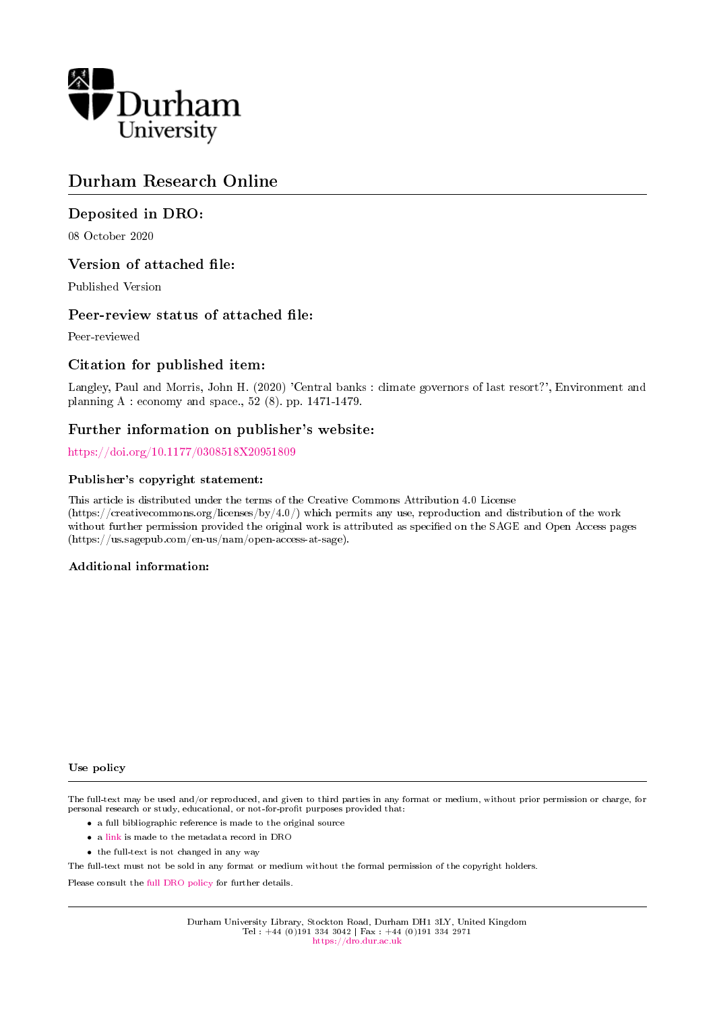

# Durham Research Online

# Deposited in DRO:

08 October 2020

## Version of attached file:

Published Version

## Peer-review status of attached file:

Peer-reviewed

# Citation for published item:

Langley, Paul and Morris, John H. (2020) 'Central banks : climate governors of last resort?', Environment and planning A : economy and space., 52 (8). pp. 1471-1479.

# Further information on publisher's website:

<https://doi.org/10.1177/0308518X20951809>

#### Publisher's copyright statement:

This article is distributed under the terms of the Creative Commons Attribution 4.0 License (https://creativecommons.org/licenses/by/4.0/) which permits any use, reproduction and distribution of the work without further permission provided the original work is attributed as specified on the SAGE and Open Access pages (https://us.sagepub.com/en-us/nam/open-access-at-sage).

#### Additional information:

#### Use policy

The full-text may be used and/or reproduced, and given to third parties in any format or medium, without prior permission or charge, for personal research or study, educational, or not-for-profit purposes provided that:

- a full bibliographic reference is made to the original source
- a [link](http://dro.dur.ac.uk/31380/) is made to the metadata record in DRO
- the full-text is not changed in any way

The full-text must not be sold in any format or medium without the formal permission of the copyright holders.

Please consult the [full DRO policy](https://dro.dur.ac.uk/policies/usepolicy.pdf) for further details.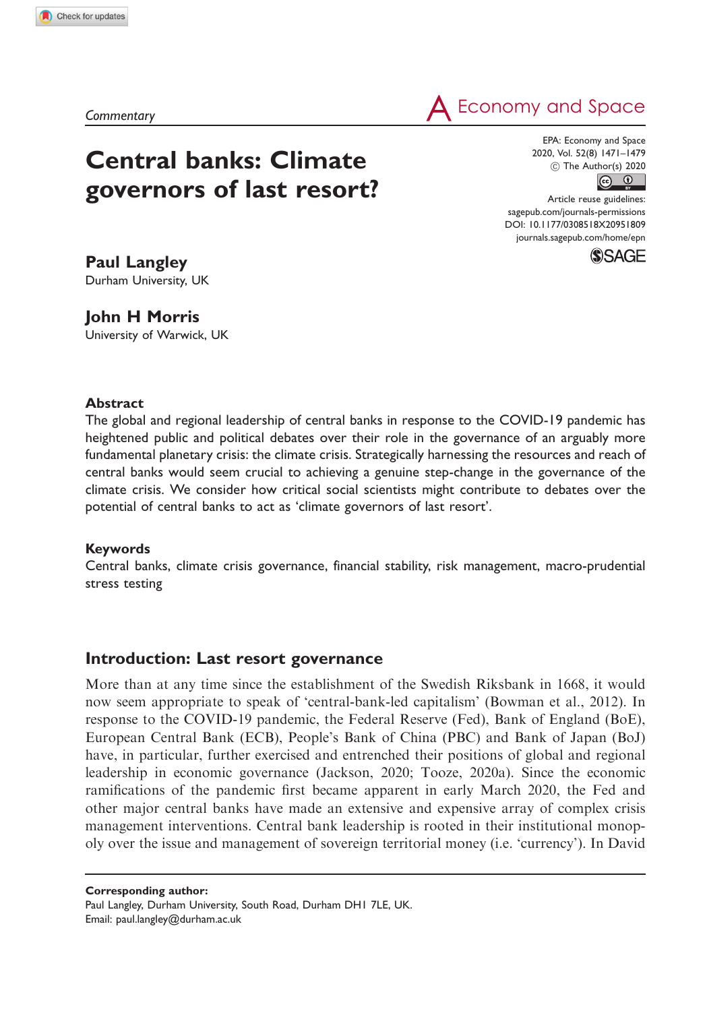# Central banks: Climate governors of last resort?

Commentary Commentary Commentary Commentary

EPA: Economy and Space 2020, Vol. 52(8) 1471–1479  $\circled{c}$  The Author(s) 2020

Article reuse guidelines: [sagepub.com/journals-permissions](http://uk.sagepub.com/en-gb/journals-permissions) [DOI: 10.1177/0308518X20951809](http://dx.doi.org/10.1177/0308518X20951809) <journals.sagepub.com/home/epn>



# Paul Langley

Durham University, UK

#### John H Morris

University of Warwick, UK

#### Abstract

The global and regional leadership of central banks in response to the COVID-19 pandemic has heightened public and political debates over their role in the governance of an arguably more fundamental planetary crisis: the climate crisis. Strategically harnessing the resources and reach of central banks would seem crucial to achieving a genuine step-change in the governance of the climate crisis. We consider how critical social scientists might contribute to debates over the potential of central banks to act as 'climate governors of last resort'.

#### Keywords

Central banks, climate crisis governance, financial stability, risk management, macro-prudential stress testing

#### Introduction: Last resort governance

More than at any time since the establishment of the Swedish Riksbank in 1668, it would now seem appropriate to speak of 'central-bank-led capitalism' (Bowman et al., 2012). In response to the COVID-19 pandemic, the Federal Reserve (Fed), Bank of England (BoE), European Central Bank (ECB), People's Bank of China (PBC) and Bank of Japan (BoJ) have, in particular, further exercised and entrenched their positions of global and regional leadership in economic governance (Jackson, 2020; Tooze, 2020a). Since the economic ramifications of the pandemic first became apparent in early March 2020, the Fed and other major central banks have made an extensive and expensive array of complex crisis management interventions. Central bank leadership is rooted in their institutional monopoly over the issue and management of sovereign territorial money (i.e. 'currency'). In David

Corresponding author: Paul Langley, Durham University, South Road, Durham DH1 7LE, UK. Email: [paul.langley@durham.ac.uk](mailto:paul.langley@durham.ac.uk)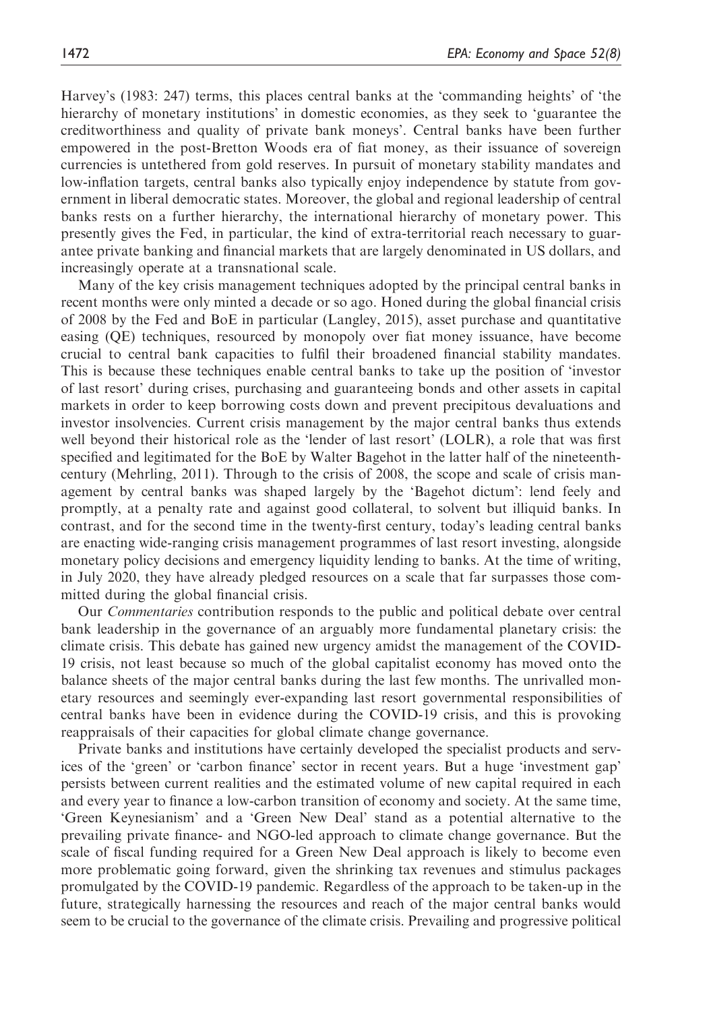Harvey's (1983: 247) terms, this places central banks at the 'commanding heights' of 'the hierarchy of monetary institutions' in domestic economies, as they seek to 'guarantee the creditworthiness and quality of private bank moneys'. Central banks have been further empowered in the post-Bretton Woods era of fiat money, as their issuance of sovereign currencies is untethered from gold reserves. In pursuit of monetary stability mandates and low-inflation targets, central banks also typically enjoy independence by statute from government in liberal democratic states. Moreover, the global and regional leadership of central banks rests on a further hierarchy, the international hierarchy of monetary power. This presently gives the Fed, in particular, the kind of extra-territorial reach necessary to guarantee private banking and financial markets that are largely denominated in US dollars, and increasingly operate at a transnational scale.

Many of the key crisis management techniques adopted by the principal central banks in recent months were only minted a decade or so ago. Honed during the global financial crisis of 2008 by the Fed and BoE in particular (Langley, 2015), asset purchase and quantitative easing (QE) techniques, resourced by monopoly over fiat money issuance, have become crucial to central bank capacities to fulfil their broadened financial stability mandates. This is because these techniques enable central banks to take up the position of 'investor of last resort' during crises, purchasing and guaranteeing bonds and other assets in capital markets in order to keep borrowing costs down and prevent precipitous devaluations and investor insolvencies. Current crisis management by the major central banks thus extends well beyond their historical role as the 'lender of last resort' (LOLR), a role that was first specified and legitimated for the BoE by Walter Bagehot in the latter half of the nineteenthcentury (Mehrling, 2011). Through to the crisis of 2008, the scope and scale of crisis management by central banks was shaped largely by the 'Bagehot dictum': lend feely and promptly, at a penalty rate and against good collateral, to solvent but illiquid banks. In contrast, and for the second time in the twenty-first century, today's leading central banks are enacting wide-ranging crisis management programmes of last resort investing, alongside monetary policy decisions and emergency liquidity lending to banks. At the time of writing, in July 2020, they have already pledged resources on a scale that far surpasses those committed during the global financial crisis.

Our Commentaries contribution responds to the public and political debate over central bank leadership in the governance of an arguably more fundamental planetary crisis: the climate crisis. This debate has gained new urgency amidst the management of the COVID-19 crisis, not least because so much of the global capitalist economy has moved onto the balance sheets of the major central banks during the last few months. The unrivalled monetary resources and seemingly ever-expanding last resort governmental responsibilities of central banks have been in evidence during the COVID-19 crisis, and this is provoking reappraisals of their capacities for global climate change governance.

Private banks and institutions have certainly developed the specialist products and services of the 'green' or 'carbon finance' sector in recent years. But a huge 'investment gap' persists between current realities and the estimated volume of new capital required in each and every year to finance a low-carbon transition of economy and society. At the same time, 'Green Keynesianism' and a 'Green New Deal' stand as a potential alternative to the prevailing private finance- and NGO-led approach to climate change governance. But the scale of fiscal funding required for a Green New Deal approach is likely to become even more problematic going forward, given the shrinking tax revenues and stimulus packages promulgated by the COVID-19 pandemic. Regardless of the approach to be taken-up in the future, strategically harnessing the resources and reach of the major central banks would seem to be crucial to the governance of the climate crisis. Prevailing and progressive political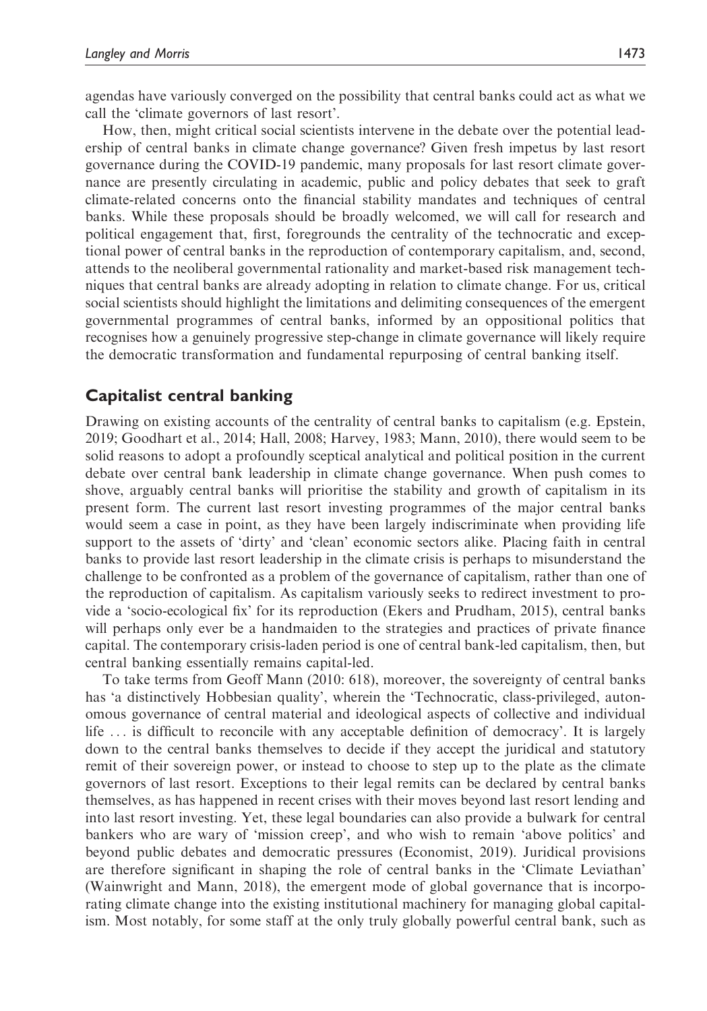agendas have variously converged on the possibility that central banks could act as what we call the 'climate governors of last resort'.

How, then, might critical social scientists intervene in the debate over the potential leadership of central banks in climate change governance? Given fresh impetus by last resort governance during the COVID-19 pandemic, many proposals for last resort climate governance are presently circulating in academic, public and policy debates that seek to graft climate-related concerns onto the financial stability mandates and techniques of central banks. While these proposals should be broadly welcomed, we will call for research and political engagement that, first, foregrounds the centrality of the technocratic and exceptional power of central banks in the reproduction of contemporary capitalism, and, second, attends to the neoliberal governmental rationality and market-based risk management techniques that central banks are already adopting in relation to climate change. For us, critical social scientists should highlight the limitations and delimiting consequences of the emergent governmental programmes of central banks, informed by an oppositional politics that recognises how a genuinely progressive step-change in climate governance will likely require the democratic transformation and fundamental repurposing of central banking itself.

#### Capitalist central banking

Drawing on existing accounts of the centrality of central banks to capitalism (e.g. Epstein, 2019; Goodhart et al., 2014; Hall, 2008; Harvey, 1983; Mann, 2010), there would seem to be solid reasons to adopt a profoundly sceptical analytical and political position in the current debate over central bank leadership in climate change governance. When push comes to shove, arguably central banks will prioritise the stability and growth of capitalism in its present form. The current last resort investing programmes of the major central banks would seem a case in point, as they have been largely indiscriminate when providing life support to the assets of 'dirty' and 'clean' economic sectors alike. Placing faith in central banks to provide last resort leadership in the climate crisis is perhaps to misunderstand the challenge to be confronted as a problem of the governance of capitalism, rather than one of the reproduction of capitalism. As capitalism variously seeks to redirect investment to provide a 'socio-ecological fix' for its reproduction (Ekers and Prudham, 2015), central banks will perhaps only ever be a handmaiden to the strategies and practices of private finance capital. The contemporary crisis-laden period is one of central bank-led capitalism, then, but central banking essentially remains capital-led.

To take terms from Geoff Mann (2010: 618), moreover, the sovereignty of central banks has 'a distinctively Hobbesian quality', wherein the 'Technocratic, class-privileged, autonomous governance of central material and ideological aspects of collective and individual life ... is difficult to reconcile with any acceptable definition of democracy'. It is largely down to the central banks themselves to decide if they accept the juridical and statutory remit of their sovereign power, or instead to choose to step up to the plate as the climate governors of last resort. Exceptions to their legal remits can be declared by central banks themselves, as has happened in recent crises with their moves beyond last resort lending and into last resort investing. Yet, these legal boundaries can also provide a bulwark for central bankers who are wary of 'mission creep', and who wish to remain 'above politics' and beyond public debates and democratic pressures (Economist, 2019). Juridical provisions are therefore significant in shaping the role of central banks in the 'Climate Leviathan' (Wainwright and Mann, 2018), the emergent mode of global governance that is incorporating climate change into the existing institutional machinery for managing global capitalism. Most notably, for some staff at the only truly globally powerful central bank, such as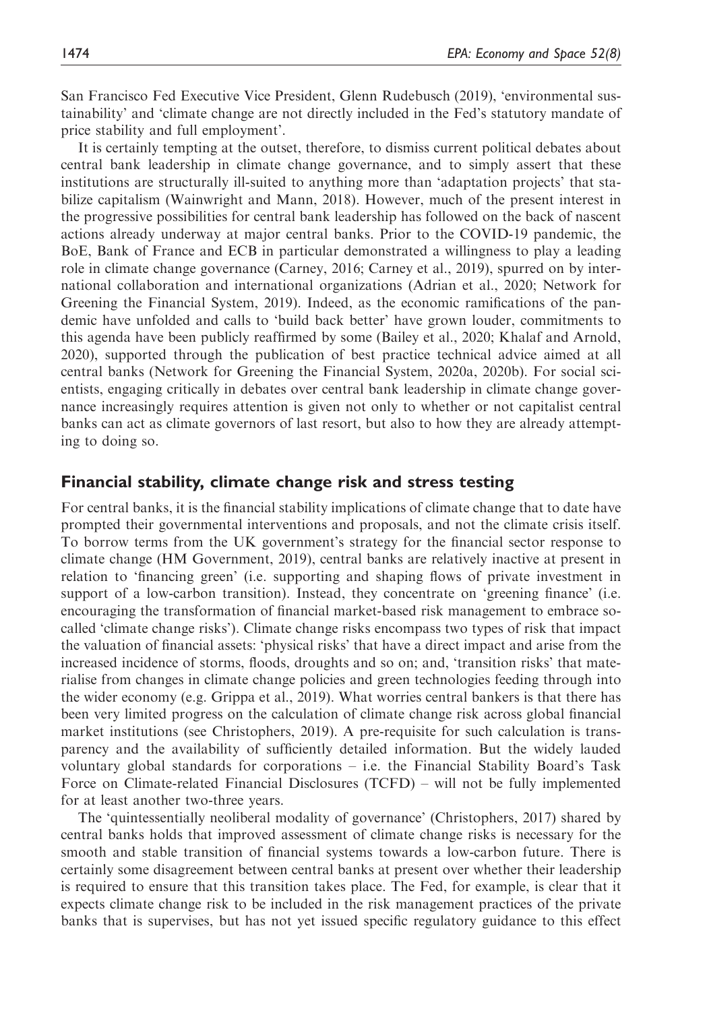San Francisco Fed Executive Vice President, Glenn Rudebusch (2019), 'environmental sustainability' and 'climate change are not directly included in the Fed's statutory mandate of price stability and full employment'.

It is certainly tempting at the outset, therefore, to dismiss current political debates about central bank leadership in climate change governance, and to simply assert that these institutions are structurally ill-suited to anything more than 'adaptation projects' that stabilize capitalism (Wainwright and Mann, 2018). However, much of the present interest in the progressive possibilities for central bank leadership has followed on the back of nascent actions already underway at major central banks. Prior to the COVID-19 pandemic, the BoE, Bank of France and ECB in particular demonstrated a willingness to play a leading role in climate change governance (Carney, 2016; Carney et al., 2019), spurred on by international collaboration and international organizations (Adrian et al., 2020; Network for Greening the Financial System, 2019). Indeed, as the economic ramifications of the pandemic have unfolded and calls to 'build back better' have grown louder, commitments to this agenda have been publicly reaffirmed by some (Bailey et al., 2020; Khalaf and Arnold, 2020), supported through the publication of best practice technical advice aimed at all central banks (Network for Greening the Financial System, 2020a, 2020b). For social scientists, engaging critically in debates over central bank leadership in climate change governance increasingly requires attention is given not only to whether or not capitalist central banks can act as climate governors of last resort, but also to how they are already attempting to doing so.

#### Financial stability, climate change risk and stress testing

For central banks, it is the financial stability implications of climate change that to date have prompted their governmental interventions and proposals, and not the climate crisis itself. To borrow terms from the UK government's strategy for the financial sector response to climate change (HM Government, 2019), central banks are relatively inactive at present in relation to 'financing green' (i.e. supporting and shaping flows of private investment in support of a low-carbon transition). Instead, they concentrate on 'greening finance' (i.e. encouraging the transformation of financial market-based risk management to embrace socalled 'climate change risks'). Climate change risks encompass two types of risk that impact the valuation of financial assets: 'physical risks' that have a direct impact and arise from the increased incidence of storms, floods, droughts and so on; and, 'transition risks' that materialise from changes in climate change policies and green technologies feeding through into the wider economy (e.g. Grippa et al., 2019). What worries central bankers is that there has been very limited progress on the calculation of climate change risk across global financial market institutions (see Christophers, 2019). A pre-requisite for such calculation is transparency and the availability of sufficiently detailed information. But the widely lauded voluntary global standards for corporations – i.e. the Financial Stability Board's Task Force on Climate-related Financial Disclosures (TCFD) – will not be fully implemented for at least another two-three years.

The 'quintessentially neoliberal modality of governance' (Christophers, 2017) shared by central banks holds that improved assessment of climate change risks is necessary for the smooth and stable transition of financial systems towards a low-carbon future. There is certainly some disagreement between central banks at present over whether their leadership is required to ensure that this transition takes place. The Fed, for example, is clear that it expects climate change risk to be included in the risk management practices of the private banks that is supervises, but has not yet issued specific regulatory guidance to this effect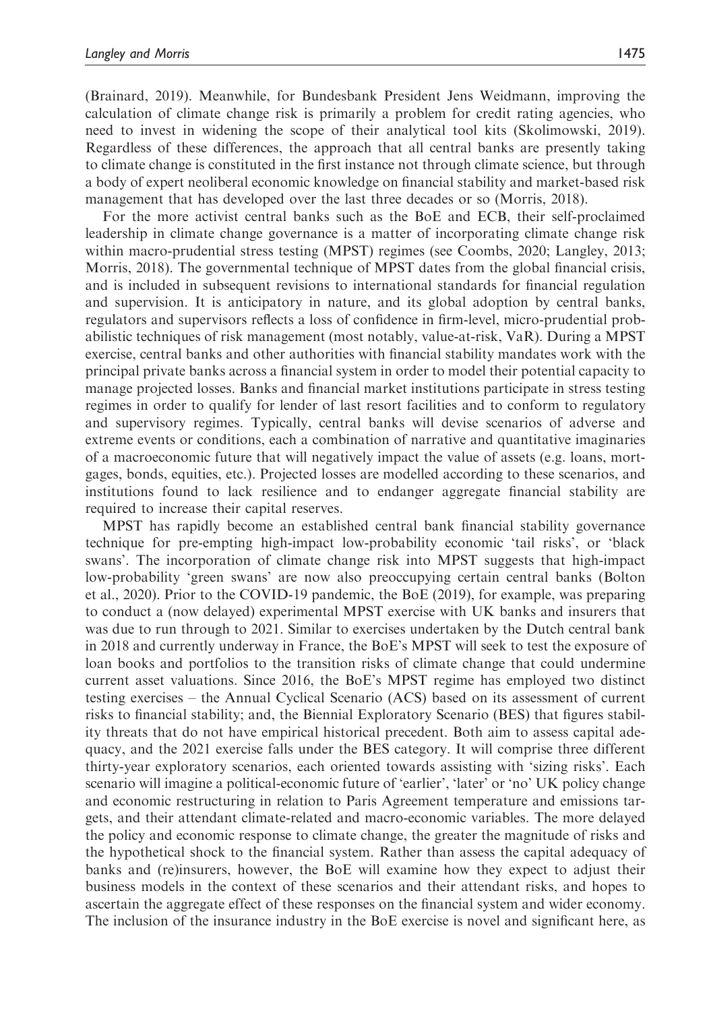(Brainard, 2019). Meanwhile, for Bundesbank President Jens Weidmann, improving the calculation of climate change risk is primarily a problem for credit rating agencies, who need to invest in widening the scope of their analytical tool kits (Skolimowski, 2019). Regardless of these differences, the approach that all central banks are presently taking to climate change is constituted in the first instance not through climate science, but through a body of expert neoliberal economic knowledge on financial stability and market-based risk management that has developed over the last three decades or so (Morris, 2018).

For the more activist central banks such as the BoE and ECB, their self-proclaimed leadership in climate change governance is a matter of incorporating climate change risk within macro-prudential stress testing (MPST) regimes (see Coombs, 2020; Langley, 2013; Morris, 2018). The governmental technique of MPST dates from the global financial crisis, and is included in subsequent revisions to international standards for financial regulation and supervision. It is anticipatory in nature, and its global adoption by central banks, regulators and supervisors reflects a loss of confidence in firm-level, micro-prudential probabilistic techniques of risk management (most notably, value-at-risk, VaR). During a MPST exercise, central banks and other authorities with financial stability mandates work with the principal private banks across a financial system in order to model their potential capacity to manage projected losses. Banks and financial market institutions participate in stress testing regimes in order to qualify for lender of last resort facilities and to conform to regulatory and supervisory regimes. Typically, central banks will devise scenarios of adverse and extreme events or conditions, each a combination of narrative and quantitative imaginaries of a macroeconomic future that will negatively impact the value of assets (e.g. loans, mortgages, bonds, equities, etc.). Projected losses are modelled according to these scenarios, and institutions found to lack resilience and to endanger aggregate financial stability are required to increase their capital reserves.

MPST has rapidly become an established central bank financial stability governance technique for pre-empting high-impact low-probability economic 'tail risks', or 'black swans'. The incorporation of climate change risk into MPST suggests that high-impact low-probability 'green swans' are now also preoccupying certain central banks (Bolton et al., 2020). Prior to the COVID-19 pandemic, the BoE (2019), for example, was preparing to conduct a (now delayed) experimental MPST exercise with UK banks and insurers that was due to run through to 2021. Similar to exercises undertaken by the Dutch central bank in 2018 and currently underway in France, the BoE's MPST will seek to test the exposure of loan books and portfolios to the transition risks of climate change that could undermine current asset valuations. Since 2016, the BoE's MPST regime has employed two distinct testing exercises – the Annual Cyclical Scenario (ACS) based on its assessment of current risks to financial stability; and, the Biennial Exploratory Scenario (BES) that figures stability threats that do not have empirical historical precedent. Both aim to assess capital adequacy, and the 2021 exercise falls under the BES category. It will comprise three different thirty-year exploratory scenarios, each oriented towards assisting with 'sizing risks'. Each scenario will imagine a political-economic future of 'earlier', 'later' or 'no' UK policy change and economic restructuring in relation to Paris Agreement temperature and emissions targets, and their attendant climate-related and macro-economic variables. The more delayed the policy and economic response to climate change, the greater the magnitude of risks and the hypothetical shock to the financial system. Rather than assess the capital adequacy of banks and (re)insurers, however, the BoE will examine how they expect to adjust their business models in the context of these scenarios and their attendant risks, and hopes to ascertain the aggregate effect of these responses on the financial system and wider economy. The inclusion of the insurance industry in the BoE exercise is novel and significant here, as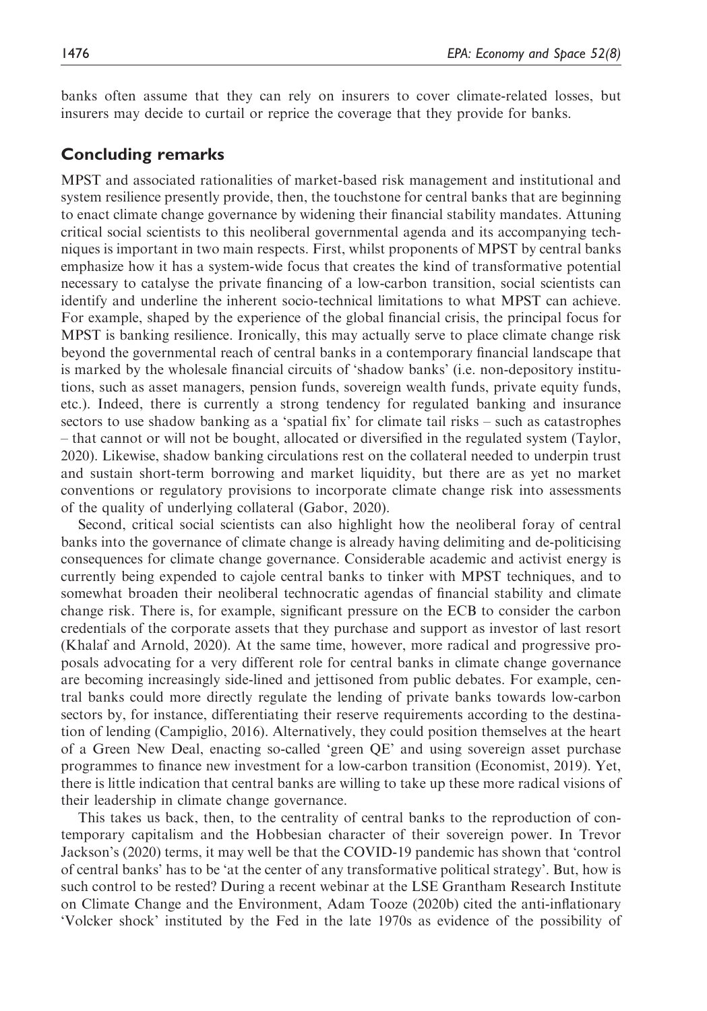banks often assume that they can rely on insurers to cover climate-related losses, but insurers may decide to curtail or reprice the coverage that they provide for banks.

#### Concluding remarks

MPST and associated rationalities of market-based risk management and institutional and system resilience presently provide, then, the touchstone for central banks that are beginning to enact climate change governance by widening their financial stability mandates. Attuning critical social scientists to this neoliberal governmental agenda and its accompanying techniques is important in two main respects. First, whilst proponents of MPST by central banks emphasize how it has a system-wide focus that creates the kind of transformative potential necessary to catalyse the private financing of a low-carbon transition, social scientists can identify and underline the inherent socio-technical limitations to what MPST can achieve. For example, shaped by the experience of the global financial crisis, the principal focus for MPST is banking resilience. Ironically, this may actually serve to place climate change risk beyond the governmental reach of central banks in a contemporary financial landscape that is marked by the wholesale financial circuits of 'shadow banks' (i.e. non-depository institutions, such as asset managers, pension funds, sovereign wealth funds, private equity funds, etc.). Indeed, there is currently a strong tendency for regulated banking and insurance sectors to use shadow banking as a 'spatial fix' for climate tail risks – such as catastrophes – that cannot or will not be bought, allocated or diversified in the regulated system (Taylor, 2020). Likewise, shadow banking circulations rest on the collateral needed to underpin trust and sustain short-term borrowing and market liquidity, but there are as yet no market conventions or regulatory provisions to incorporate climate change risk into assessments of the quality of underlying collateral (Gabor, 2020).

Second, critical social scientists can also highlight how the neoliberal foray of central banks into the governance of climate change is already having delimiting and de-politicising consequences for climate change governance. Considerable academic and activist energy is currently being expended to cajole central banks to tinker with MPST techniques, and to somewhat broaden their neoliberal technocratic agendas of financial stability and climate change risk. There is, for example, significant pressure on the ECB to consider the carbon credentials of the corporate assets that they purchase and support as investor of last resort (Khalaf and Arnold, 2020). At the same time, however, more radical and progressive proposals advocating for a very different role for central banks in climate change governance are becoming increasingly side-lined and jettisoned from public debates. For example, central banks could more directly regulate the lending of private banks towards low-carbon sectors by, for instance, differentiating their reserve requirements according to the destination of lending (Campiglio, 2016). Alternatively, they could position themselves at the heart of a Green New Deal, enacting so-called 'green QE' and using sovereign asset purchase programmes to finance new investment for a low-carbon transition (Economist, 2019). Yet, there is little indication that central banks are willing to take up these more radical visions of their leadership in climate change governance.

This takes us back, then, to the centrality of central banks to the reproduction of contemporary capitalism and the Hobbesian character of their sovereign power. In Trevor Jackson's (2020) terms, it may well be that the COVID-19 pandemic has shown that 'control of central banks' has to be 'at the center of any transformative political strategy'. But, how is such control to be rested? During a recent webinar at the LSE Grantham Research Institute on Climate Change and the Environment, Adam Tooze (2020b) cited the anti-inflationary 'Volcker shock' instituted by the Fed in the late 1970s as evidence of the possibility of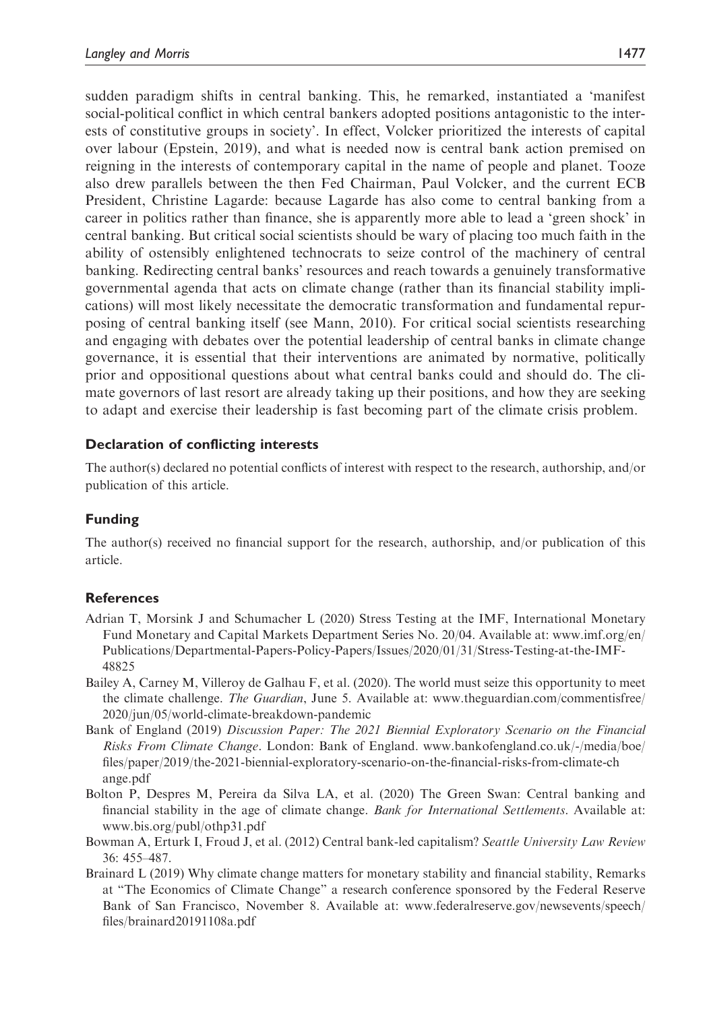sudden paradigm shifts in central banking. This, he remarked, instantiated a 'manifest social-political conflict in which central bankers adopted positions antagonistic to the interests of constitutive groups in society'. In effect, Volcker prioritized the interests of capital over labour (Epstein, 2019), and what is needed now is central bank action premised on reigning in the interests of contemporary capital in the name of people and planet. Tooze also drew parallels between the then Fed Chairman, Paul Volcker, and the current ECB President, Christine Lagarde: because Lagarde has also come to central banking from a career in politics rather than finance, she is apparently more able to lead a 'green shock' in central banking. But critical social scientists should be wary of placing too much faith in the ability of ostensibly enlightened technocrats to seize control of the machinery of central banking. Redirecting central banks' resources and reach towards a genuinely transformative governmental agenda that acts on climate change (rather than its financial stability implications) will most likely necessitate the democratic transformation and fundamental repurposing of central banking itself (see Mann, 2010). For critical social scientists researching and engaging with debates over the potential leadership of central banks in climate change governance, it is essential that their interventions are animated by normative, politically prior and oppositional questions about what central banks could and should do. The climate governors of last resort are already taking up their positions, and how they are seeking to adapt and exercise their leadership is fast becoming part of the climate crisis problem.

#### Declaration of conflicting interests

The author(s) declared no potential conflicts of interest with respect to the research, authorship, and/or publication of this article.

#### Funding

The author(s) received no financial support for the research, authorship, and/or publication of this article.

#### **References**

- Adrian T, Morsink J and Schumacher L (2020) Stress Testing at the IMF, International Monetary Fund Monetary and Capital Markets Department Series No. 20/04. Available at: [www.imf.org/en/](http://www.imf.org/en/Publications/Departmental-Papers-Policy-Papers/Issues/2020/01/31/Stress-Testing-at-the-IMF-48825) [Publications/Departmental-Papers-Policy-Papers/Issues/2020/01/31/Stress-Testing-at-the-IMF-](http://www.imf.org/en/Publications/Departmental-Papers-Policy-Papers/Issues/2020/01/31/Stress-Testing-at-the-IMF-48825)[48825](http://www.imf.org/en/Publications/Departmental-Papers-Policy-Papers/Issues/2020/01/31/Stress-Testing-at-the-IMF-48825)
- Bailey A, Carney M, Villeroy de Galhau F, et al. (2020). The world must seize this opportunity to meet the climate challenge. The Guardian, June 5. Available at: [www.theguardian.com/commentisfree/](http://www.theguardian.com/commentisfree/2020/jun/05/world-climate-breakdown-pandemic) [2020/jun/05/world-climate-breakdown-pandemic](http://www.theguardian.com/commentisfree/2020/jun/05/world-climate-breakdown-pandemic)
- Bank of England (2019) Discussion Paper: The 2021 Biennial Exploratory Scenario on the Financial Risks From Climate Change. London: Bank of England. [www.bankofengland.co.uk/-/media/boe/](http://www.bankofengland.co.uk/-/media/boe/files/paper/2019/the-2021-biennial-exploratory-scenario-on-the-financial-risks-from-climate-change.pdf) [files/paper/2019/the-2021-biennial-exploratory-scenario-on-the-financial-risks-from-climate-ch](http://www.bankofengland.co.uk/-/media/boe/files/paper/2019/the-2021-biennial-exploratory-scenario-on-the-financial-risks-from-climate-change.pdf) [ange.pdf](http://www.bankofengland.co.uk/-/media/boe/files/paper/2019/the-2021-biennial-exploratory-scenario-on-the-financial-risks-from-climate-change.pdf)
- Bolton P, Despres M, Pereira da Silva LA, et al. (2020) The Green Swan: Central banking and financial stability in the age of climate change. Bank for International Settlements. Available at: [www.bis.org/publ/othp31.pdf](http://www.bis.org/publ/othp31.pdf)
- Bowman A, Erturk I, Froud J, et al. (2012) Central bank-led capitalism? Seattle University Law Review 36: 455–487.
- Brainard L (2019) Why climate change matters for monetary stability and financial stability, Remarks at "The Economics of Climate Change" a research conference sponsored by the Federal Reserve Bank of San Francisco, November 8. Available at: [www.federalreserve.gov/newsevents/speech/](http://www.federalreserve.gov/newsevents/speech/files/brainard20191108a.pdf) [files/brainard20191108a.pdf](http://www.federalreserve.gov/newsevents/speech/files/brainard20191108a.pdf)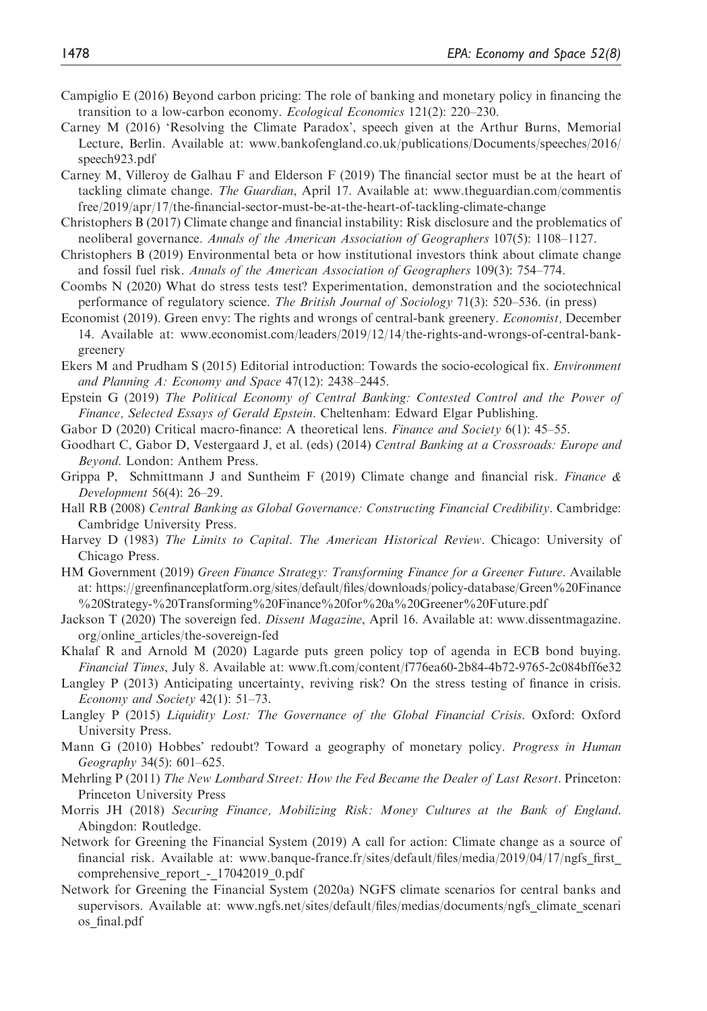- Campiglio E (2016) Beyond carbon pricing: The role of banking and monetary policy in financing the transition to a low-carbon economy. Ecological Economics 121(2): 220–230.
- Carney M (2016) 'Resolving the Climate Paradox', speech given at the Arthur Burns, Memorial Lecture, Berlin. Available at: [www.bankofengland.co.uk/publications/Documents/speeches/2016/](http://www.bankofengland.co.uk/publications/Documents/speeches/2016/speech923.pdf) [speech923.pdf](http://www.bankofengland.co.uk/publications/Documents/speeches/2016/speech923.pdf)
- Carney M, Villeroy de Galhau F and Elderson F (2019) The financial sector must be at the heart of tackling climate change. The Guardian, April 17. Available at: [www.theguardian.com/commentis](http://www.theguardian.com/commentisfree/2019/apr/17/the-financial-sector-must-be-at-the-heart-of-tackling-climate-change) [free/2019/apr/17/the-financial-sector-must-be-at-the-heart-of-tackling-climate-change](http://www.theguardian.com/commentisfree/2019/apr/17/the-financial-sector-must-be-at-the-heart-of-tackling-climate-change)
- Christophers B (2017) Climate change and financial instability: Risk disclosure and the problematics of neoliberal governance. Annals of the American Association of Geographers 107(5): 1108–1127.
- Christophers B (2019) Environmental beta or how institutional investors think about climate change and fossil fuel risk. Annals of the American Association of Geographers 109(3): 754–774.
- Coombs N (2020) What do stress tests test? Experimentation, demonstration and the sociotechnical performance of regulatory science. The British Journal of Sociology 71(3): 520–536. (in press)
- Economist (2019). Green envy: The rights and wrongs of central-bank greenery. Economist, December 14. Available at: [www.economist.com/leaders/2019/12/14/the-rights-and-wrongs-of-central-bank](http://www.economist.com/leaders/2019/12/14/the-rights-and-wrongs-of-central-bank-greenery)[greenery](http://www.economist.com/leaders/2019/12/14/the-rights-and-wrongs-of-central-bank-greenery)
- Ekers M and Prudham S (2015) Editorial introduction: Towards the socio-ecological fix. Environment and Planning A: Economy and Space 47(12): 2438–2445.
- Epstein G (2019) The Political Economy of Central Banking: Contested Control and the Power of Finance, Selected Essays of Gerald Epstein. Cheltenham: Edward Elgar Publishing.
- Gabor D (2020) Critical macro-finance: A theoretical lens. *Finance and Society* 6(1): 45–55.
- Goodhart C, Gabor D, Vestergaard J, et al. (eds) (2014) Central Banking at a Crossroads: Europe and Beyond. London: Anthem Press.
- Grippa P, Schmittmann J and Suntheim F (2019) Climate change and financial risk. Finance  $\&$ Development 56(4): 26–29.
- Hall RB (2008) Central Banking as Global Governance: Constructing Financial Credibility. Cambridge: Cambridge University Press.
- Harvey D (1983) The Limits to Capital. The American Historical Review. Chicago: University of Chicago Press.
- HM Government (2019) Green Finance Strategy: Transforming Finance for a Greener Future. Available at: [https://greenfinanceplatform.org/sites/default/files/downloads/policy-database/Green%20Finance](https://greenfinanceplatform.org/sites/default/files/downloads/policy-database/Green%20Finance%20Strategy-%20Transforming%20Finance%20for%20a%20Greener%20Future.pdf) [%20Strategy-%20Transforming%20Finance%20for%20a%20Greener%20Future.pdf](https://greenfinanceplatform.org/sites/default/files/downloads/policy-database/Green%20Finance%20Strategy-%20Transforming%20Finance%20for%20a%20Greener%20Future.pdf)
- Jackson T (2020) The sovereign fed. Dissent Magazine, April 16. Available at: [www.dissentmagazine.](http://www.dissentmagazine.org/online_articles/the-sovereign-fed) [org/online\\_articles/the-sovereign-fed](http://www.dissentmagazine.org/online_articles/the-sovereign-fed)
- Khalaf R and Arnold M (2020) Lagarde puts green policy top of agenda in ECB bond buying. Financial Times, July 8. Available at: [www.ft.com/content/f776ea60-2b84-4b72-9765-2c084bff6e32](http://www.ft.com/content/f776ea60-2b84-4b72-9765-2c084bff6e32)
- Langley P (2013) Anticipating uncertainty, reviving risk? On the stress testing of finance in crisis. Economy and Society 42(1): 51–73.
- Langley P (2015) Liquidity Lost: The Governance of the Global Financial Crisis. Oxford: Oxford University Press.
- Mann G (2010) Hobbes' redoubt? Toward a geography of monetary policy. *Progress in Human* Geography 34(5): 601–625.
- Mehrling P (2011) The New Lombard Street: How the Fed Became the Dealer of Last Resort. Princeton: Princeton University Press
- Morris JH (2018) Securing Finance, Mobilizing Risk: Money Cultures at the Bank of England. Abingdon: Routledge.
- Network for Greening the Financial System (2019) A call for action: Climate change as a source of financial risk. Available at: [www.banque-france.fr/sites/default/files/media/2019/04/17/ngfs\\_first\\_](http://www.banque-france.fr/sites/default/files/media/2019/04/17/ngfs_first_comprehensive_report_-_17042019_0.pdf) comprehensive report - 17042019 0.pdf
- Network for Greening the Financial System (2020a) NGFS climate scenarios for central banks and supervisors. Available at: www.ngfs.net/sites/default/files/medias/documents/ngfs climate scenari [os\\_final.pdf](http://www.ngfs.net/sites/default/files/medias/documents/ngfs_climate_scenarios_final.pdf)